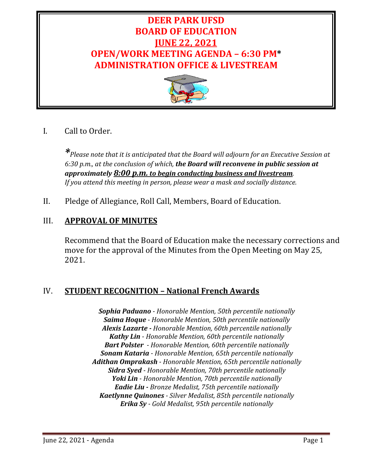# **DEER PARK UFSD BOARD OF EDUCATION JUNE 22, 2021 OPEN/WORK MEETING AGENDA – 6:30 PM\* ADMINISTRATION OFFICE & LIVESTREAM**



I. Call to Order.

*\*Please note that it is anticipated that the Board will adjourn for an Executive Session at 6:30 p.m., at the conclusion of which, the Board will reconvene in public session at approximately 8:00 p.m. to begin conducting business and livestream. If you attend this meeting in person, please wear a mask and socially distance.*

II. Pledge of Allegiance, Roll Call, Members, Board of Education.

# III. **APPROVAL OF MINUTES**

Recommend that the Board of Education make the necessary corrections and move for the approval of the Minutes from the Open Meeting on May 25, 2021.

# IV. **STUDENT RECOGNITION – National French Awards**

*Sophia Paduano - Honorable Mention, 50th percentile nationally Saima Hoque - Honorable Mention, 50th percentile nationally Alexis Lazarte - Honorable Mention, 60th percentile nationally Kathy Lin - Honorable Mention, 60th percentile nationally Bart Polster - Honorable Mention, 60th percentile nationally Sonam Kataria - Honorable Mention, 65th percentile nationally Adithan Omprakash - Honorable Mention, 65th percentile nationally Sidra Syed - Honorable Mention, 70th percentile nationally Yoki Lin - Honorable Mention, 70th percentile nationally Eadie Liu - Bronze Medalist, 75th percentile nationally Kaetlynne Quinones - Silver Medalist, 85th percentile nationally Erika Sy - Gold Medalist, 95th percentile nationally*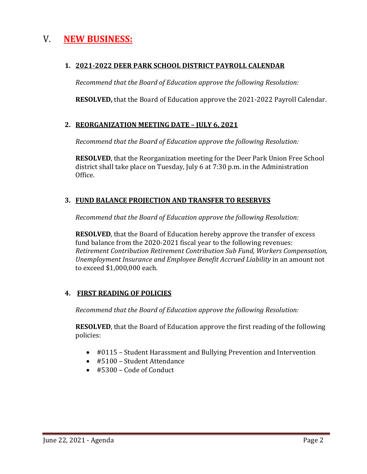# V. **NEW BUSINESS:**

### **1. 2021-2022 DEER PARK SCHOOL DISTRICT PAYROLL CALENDAR**

*Recommend that the Board of Education approve the following Resolution:*

**RESOLVED,** that the Board of Education approve the 2021-2022 Payroll Calendar.

### **2. REORGANIZATION MEETING DATE – JULY 6, 2021**

*Recommend that the Board of Education approve the following Resolution:*

**RESOLVED**, that the Reorganization meeting for the Deer Park Union Free School district shall take place on Tuesday, July 6 at 7:30 p.m. in the Administration Office.

### **3. FUND BALANCE PROJECTION AND TRANSFER TO RESERVES**

*Recommend that the Board of Education approve the following Resolution:*

**RESOLVED**, that the Board of Education hereby approve the transfer of excess fund balance from the 2020-2021 fiscal year to the following revenues: *Retirement Contribution Retirement Contribution Sub Fund, Workers Compensation, Unemployment Insurance and Employee Benefit Accrued Liability* in an amount not to exceed \$1,000,000 each.

### **4. FIRST READING OF POLICIES**

*Recommend that the Board of Education approve the following Resolution:*

**RESOLVED**, that the Board of Education approve the first reading of the following policies:

- #0115 Student Harassment and Bullying Prevention and Intervention
- #5100 Student Attendance
- #5300 Code of Conduct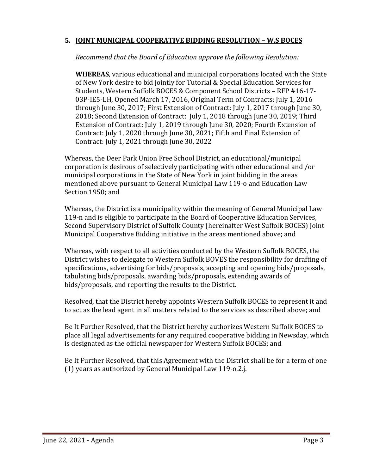### **5. JOINT MUNICIPAL COOPERATIVE BIDDING RESOLUTION – W.S BOCES**

*Recommend that the Board of Education approve the following Resolution:*

**WHEREAS**, various educational and municipal corporations located with the State of New York desire to bid jointly for Tutorial & Special Education Services for Students, Western Suffolk BOCES & Component School Districts – RFP #16-17- 03P-IE5-LH, Opened March 17, 2016, Original Term of Contracts: July 1, 2016 through June 30, 2017; First Extension of Contract: July 1, 2017 through June 30, 2018; Second Extension of Contract: July 1, 2018 through June 30, 2019; Third Extension of Contract: July 1, 2019 through June 30, 2020; Fourth Extension of Contract: July 1, 2020 through June 30, 2021; Fifth and Final Extension of Contract: July 1, 2021 through June 30, 2022

Whereas, the Deer Park Union Free School District, an educational/municipal corporation is desirous of selectively participating with other educational and /or municipal corporations in the State of New York in joint bidding in the areas mentioned above pursuant to General Municipal Law 119-o and Education Law Section 1950; and

Whereas, the District is a municipality within the meaning of General Municipal Law 119-n and is eligible to participate in the Board of Cooperative Education Services, Second Supervisory District of Suffolk County (hereinafter West Suffolk BOCES) Joint Municipal Cooperative Bidding initiative in the areas mentioned above; and

Whereas, with respect to all activities conducted by the Western Suffolk BOCES, the District wishes to delegate to Western Suffolk BOVES the responsibility for drafting of specifications, advertising for bids/proposals, accepting and opening bids/proposals, tabulating bids/proposals, awarding bids/proposals, extending awards of bids/proposals, and reporting the results to the District.

Resolved, that the District hereby appoints Western Suffolk BOCES to represent it and to act as the lead agent in all matters related to the services as described above; and

Be It Further Resolved, that the District hereby authorizes Western Suffolk BOCES to place all legal advertisements for any required cooperative bidding in Newsday, which is designated as the official newspaper for Western Suffolk BOCES; and

Be It Further Resolved, that this Agreement with the District shall be for a term of one (1) years as authorized by General Municipal Law 119-o.2.j.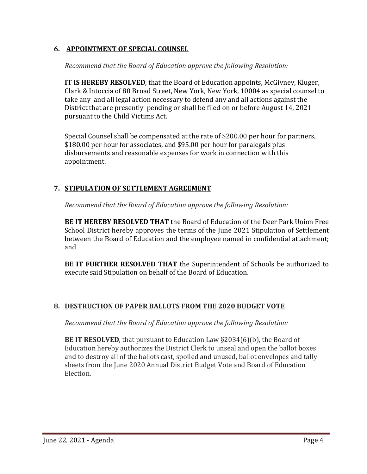### **6. APPOINTMENT OF SPECIAL COUNSEL**

*Recommend that the Board of Education approve the following Resolution:*

**IT IS HEREBY RESOLVED**, that the Board of Education appoints, McGivney, Kluger, Clark & Intoccia of 80 Broad Street, New York, New York, 10004 as special counsel to take any and all legal action necessary to defend any and all actions against the District that are presently pending or shall be filed on or before August 14, 2021 pursuant to the Child Victims Act.

Special Counsel shall be compensated at the rate of \$200.00 per hour for partners, \$180.00 per hour for associates, and \$95.00 per hour for paralegals plus disbursements and reasonable expenses for work in connection with this appointment.

### **7. STIPULATION OF SETTLEMENT AGREEMENT**

*Recommend that the Board of Education approve the following Resolution:*

**BE IT HEREBY RESOLVED THAT** the Board of Education of the Deer Park Union Free School District hereby approves the terms of the June 2021 Stipulation of Settlement between the Board of Education and the employee named in confidential attachment; and

**BE IT FURTHER RESOLVED THAT** the Superintendent of Schools be authorized to execute said Stipulation on behalf of the Board of Education.

### **8. DESTRUCTION OF PAPER BALLOTS FROM THE 2020 BUDGET VOTE**

*Recommend that the Board of Education approve the following Resolution:*

**BE IT RESOLVED**, that pursuant to Education Law §2034(6)(b), the Board of Education hereby authorizes the District Clerk to unseal and open the ballot boxes and to destroy all of the ballots cast, spoiled and unused, ballot envelopes and tally sheets from the June 2020 Annual District Budget Vote and Board of Education Election.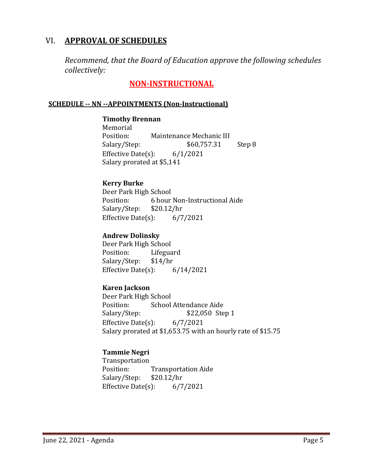# VI. **APPROVAL OF SCHEDULES**

*Recommend, that the Board of Education approve the following schedules collectively:*

# **NON-INSTRUCTIONAL**

### **SCHEDULE -- NN --APPOINTMENTS (Non-Instructional)**

**Timothy Brennan** Memorial<br>Position: Maintenance Mechanic III<br>\$60,757.31 Salary/Step: \$60,757.31 Step 8 Effective Date(s): 6/1/2021 Salary prorated at \$5,141

### **Kerry Burke**

Deer Park High School<br>Position: 6 hour 6 hour Non-Instructional Aide  $$20.12/hr$ Salary/Step: \$20.12/hr<br>Effective Date(s): 6/7/2021 Effective Date $(s)$ :

### **Andrew Dolinsky**

Deer Park High School<br>Position: Lifegua Lifeguard<br>\$14/hr Salary/Step: Effective Date(s): 6/14/2021

#### **Karen Jackson**

Deer Park High School<br>Position: School Position: School Attendance Aide<br>Salary/Step: \$22,050 Ste \$22,050 Step 1 Effective Date(s): 6/7/2021 Salary prorated at \$1,653.75 with an hourly rate of \$15.75

### **Tammie Negri**

Transportation<br>Position: Transportation Aide<br>\$20.12/hr Salary/Step: Effective Date $(s)$ : 6/7/2021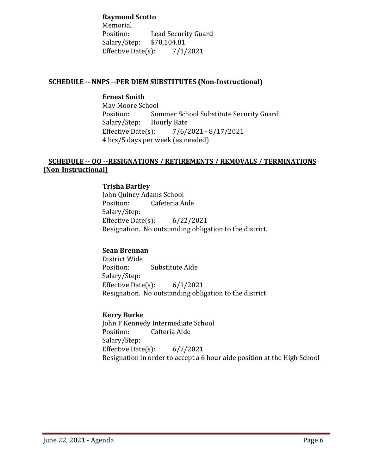#### **Raymond Scotto**

Memorial<br>Position: Lead Security Guard<br>\$70,104.81 Salary/Step: Effective Date(s):  $7/1/2021$ 

### **SCHEDULE -- NNPS --PER DIEM SUBSTITUTES (Non-Instructional)**

# **Ernest Smith**

May Moore School<br>Position: Sur Summer School Substitute Security Guard<br>Hourly Rate Salary/Step: Hourly Repress<br>Effective Date(s): Effective Date(s): 7/6/2021 - 8/17/2021 4 hrs/5 days per week (as needed)

#### **SCHEDULE -- OO --RESIGNATIONS / RETIREMENTS / REMOVALS / TERMINATIONS (Non-Instructional)**

#### **Trisha Bartley** John Quincy Adams School<br>Position: Cafeteria Ai Cafeteria Aide Salary/Step: Effective Date(s): 6/22/2021

Resignation. No outstanding obligation to the district.

### **Sean Brennan**

District Wide Substitute Aide Salary/Step: Effective Date $(s)$ : 6/1/2021 Resignation. No outstanding obligation to the district

### **Kerry Burke**

John F Kennedy Intermediate School<br>Position: Cafteria Aide Cafteria Aide Salary/Step: Effective Date(s): 6/7/2021 Resignation in order to accept a 6 hour aide position at the High School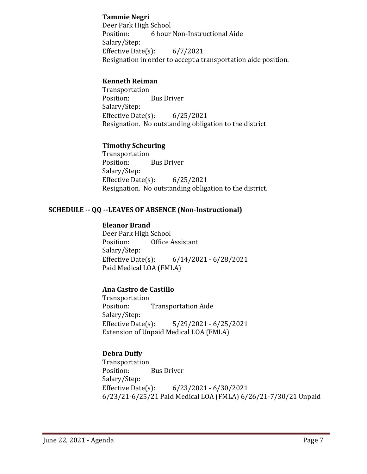### **Tammie Negri**

Deer Park High School<br>Position: 6 hour 6 hour Non-Instructional Aide Salary/Step: Effective Date $(s)$ : 6/7/2021 Resignation in order to accept a transportation aide position.

#### **Kenneth Reiman**

Transportation **Bus Driver** Salary/Step: Effective Date(s): 6/25/2021 Resignation. No outstanding obligation to the district

### **Timothy Scheuring**

Transportation<br>Position: **Bus Driver** Salary/Step: Effective Date(s): 6/25/2021 Resignation. No outstanding obligation to the district.

### **SCHEDULE -- QQ --LEAVES OF ABSENCE (Non-Instructional)**

### **Eleanor Brand**

Deer Park High School<br>Position: Office A Office Assistant Salary/Step:<br>Effective Date(s): Effective Date(s): 6/14/2021 - 6/28/2021 Paid Medical LOA (FMLA)

#### **Ana Castro de Castillo**

Transportation **Transportation Aide** Salary/Step:<br>Effective Date(s): Effective Date(s): 5/29/2021 - 6/25/2021 Extension of Unpaid Medical LOA (FMLA)

### **Debra Duffy**

Transportation<br>Position: **Bus Driver** Salary/Step: Effective Date(s): 6/23/2021 - 6/30/2021 6/23/21-6/25/21 Paid Medical LOA (FMLA) 6/26/21-7/30/21 Unpaid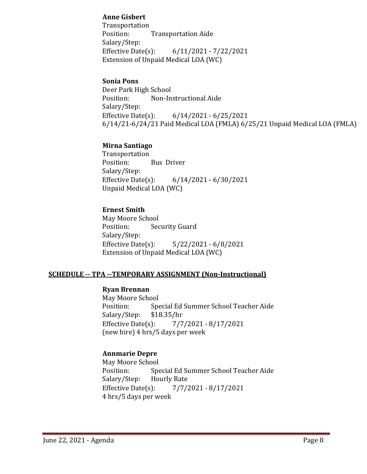### **Anne Gisbert**

Transportation<br>Position: **Transportation Aide** Salary/Step: Effective Date(s): 6/11/2021 - 7/22/2021 Extension of Unpaid Medical LOA (WC)

#### **Sonia Pons**

Deer Park High School<br>Position: Non-In Non-Instructional Aide Salary/Step:<br>Effective Date(s): Effective Date(s): 6/14/2021 - 6/25/2021 6/14/21-6/24/21 Paid Medical LOA (FMLA) 6/25/21 Unpaid Medical LOA (FMLA)

### **Mirna Santiago**

Transportation<br>Position: Bus Driver Salary/Step:<br>Effective Date(s): Effective Date(s): 6/14/2021 - 6/30/2021 Unpaid Medical LOA (WC)

#### **Ernest Smith**

May Moore School<br>Position: Sec **Security Guard** Salary/Step:<br>Effective Date(s):  $5/22/2021 - 6/8/2021$ Extension of Unpaid Medical LOA (WC)

#### **SCHEDULE -- TPA --TEMPORARY ASSIGNMENT (Non-Instructional)**

#### **Ryan Brennan**

May Moore School<br>Position: Spe Special Ed Summer School Teacher Aide<br>\$18.35/hr Salary/Step: \$1<br>Effective Date(s): Effective Date(s): 7/7/2021 - 8/17/2021 (new hire) 4 hrs/5 days per week

### **Annmarie Depre**

May Moore School<br>Position: Spe Special Ed Summer School Teacher Aide<br>Hourly Rate Salary/Step: Effective Date(s): 7/7/2021 - 8/17/2021 4 hrs/5 days per week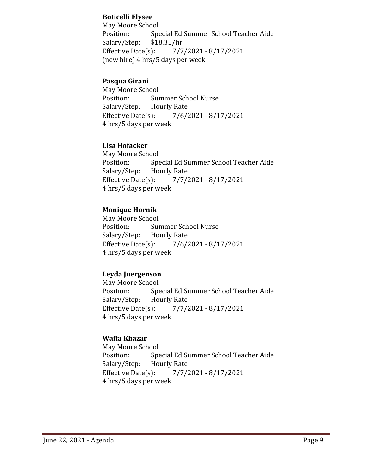### **Boticelli Elysee**

May Moore School<br>Position: Spe Special Ed Summer School Teacher Aide<br>\$18.35/hr Salary/Step: \$1<br>Effective Date(s): Effective Date(s): 7/7/2021 - 8/17/2021 (new hire) 4 hrs/5 days per week

### **Pasqua Girani**

May Moore School<br>Position: Sur Summer School Nurse<br>Hourly Rate Salary/Step: Hourly Rep<br>Effective Date(s): Effective Date(s): 7/6/2021 - 8/17/2021 4 hrs/5 days per week

### **Lisa Hofacker**

May Moore School<br>Position: Spe Special Ed Summer School Teacher Aide<br>Hourly Rate Salary/Step: Hourly Repress<br>Effective Date(s): Effective Date(s): 7/7/2021 - 8/17/2021 4 hrs/5 days per week

### **Monique Hornik**

May Moore School<br>Position: Sur Summer School Nurse<br>Hourly Rate Salary/Step: Hourly Repress<br>Effective Date(s):  $7/6/2021 - 8/17/2021$ 4 hrs/5 days per week

#### **Leyda Juergenson**

May Moore School<br>Position: Spe Special Ed Summer School Teacher Aide<br>Hourly Rate Salary/Step: Hourly Repress<br>Effective Date(s): Effective Date(s): 7/7/2021 - 8/17/2021 4 hrs/5 days per week

### **Waffa Khazar**

May Moore School<br>Position: Spe Special Ed Summer School Teacher Aide<br>Hourly Rate Salary/Step: Hourly Rate<br>Effective Date(s): Effective Date(s): 7/7/2021 - 8/17/2021 4 hrs/5 days per week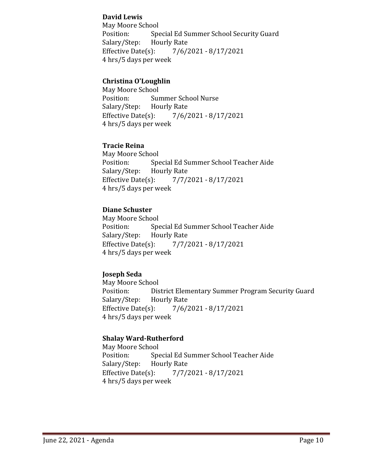### **David Lewis**

May Moore School<br>Position: Spe Special Ed Summer School Security Guard<br>Hourly Rate Salary/Step: Hourly Refective Date(s): Effective Date(s): 7/6/2021 - 8/17/2021 4 hrs/5 days per week

### **Christina O'Loughlin**

May Moore School<br>Position: Sur Summer School Nurse<br>Hourly Rate Salary/Step: Hourly Rep<br>Effective Date(s): Effective Date(s): 7/6/2021 - 8/17/2021 4 hrs/5 days per week

### **Tracie Reina**

May Moore School<br>Position: Spe Special Ed Summer School Teacher Aide<br>Hourly Rate Salary/Step: Hourly Rep<br>Effective Date(s): Effective Date(s): 7/7/2021 - 8/17/2021 4 hrs/5 days per week

### **Diane Schuster**

May Moore School<br>Position: Spe Special Ed Summer School Teacher Aide<br>Hourly Rate Salary/Step: Hourly Repress<br>Effective Date(s): Effective Date(s): 7/7/2021 - 8/17/2021 4 hrs/5 days per week

### **Joseph Seda**

May Moore School<br>Position: Dis District Elementary Summer Program Security Guard<br>Hourly Rate Salary/Step: Hourly Repress<br>Effective Date(s): Effective Date(s): 7/6/2021 - 8/17/2021 4 hrs/5 days per week

#### **Shalay Ward-Rutherford**

May Moore School<br>Position: Spe Special Ed Summer School Teacher Aide<br>Hourly Rate Salary/Step: Hourly Rate<br>Effective Date(s): Effective Date(s): 7/7/2021 - 8/17/2021 4 hrs/5 days per week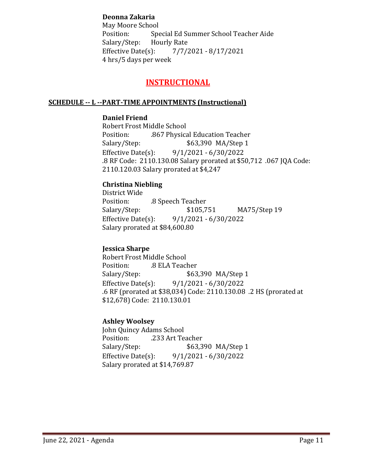### **Deonna Zakaria**

May Moore School<br>Position: Spe Special Ed Summer School Teacher Aide<br>Hourly Rate Salary/Step: Effective Date(s): 7/7/2021 - 8/17/2021 4 hrs/5 days per week

# **INSTRUCTIONAL**

#### **SCHEDULE -- L --PART-TIME APPOINTMENTS (Instructional)**

#### **Daniel Friend**

Robert Frost Middle School<br>Position: .867 Physica Position: .867 Physical Education Teacher \$63,390 MA/Step 1 Effective Date(s): 9/1/2021 - 6/30/2022 .8 RF Code: 2110.130.08 Salary prorated at \$50,712 .067 JQA Code: 2110.120.03 Salary prorated at \$4,247

### **Christina Niebling**

District Wide Position: .8 Speech Teacher<br>Salary/Step: \$105,751 MA75/Step 19 Effective Date(s): 9/1/2021 - 6/30/2022 Salary prorated at \$84,600.80

#### **Jessica Sharpe**

Robert Frost Middle School Position: .8 ELA Teacher<br>Salary/Step: \$63 \$63,390 MA/Step 1 Effective Date(s): 9/1/2021 - 6/30/2022 .6 RF (prorated at \$38,034) Code: 2110.130.08 .2 HS (prorated at \$12,678) Code: 2110.130.01

#### **Ashley Woolsey**

John Quincy Adams School<br>Position: .233 Art Te Position: .233 Art Teacher<br>Salary/Step: \$63,3 \$63,390 MA/Step 1 Effective Date(s): 9/1/2021 - 6/30/2022 Salary prorated at \$14,769.87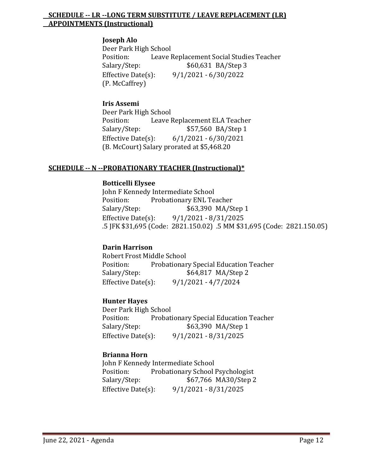#### **SCHEDULE -- LR --LONG TERM SUBSTITUTE / LEAVE REPLACEMENT (LR) APPOINTMENTS (Instructional)**

#### **Joseph Alo**

Deer Park High School Position: Leave Replacement Social Studies Teacher<br>Salary/Step: \$60,631 BA/Step 3 \$60,631 BA/Step 3 Effective Date(s): 9/1/2021 - 6/30/2022 (P. McCaffrey)

### **Iris Assemi**

Deer Park High School<br>Position: Leave I Position: Leave Replacement ELA Teacher<br>Salary/Step: \$57,560 BA/Step 1 \$57,560 BA/Step 1 Effective Date(s): 6/1/2021 - 6/30/2021 (B. McCourt) Salary prorated at \$5,468.20

#### **SCHEDULE -- N --PROBATIONARY TEACHER (Instructional)\***

#### **Botticelli Elysee**

John F Kennedy Intermediate School<br>Position: Probationary ENL Te Position: Probationary ENL Teacher<br>Salary/Step: \$63,390 MA/S \$63,390 MA/Step 1 Effective Date(s): 9/1/2021 - 8/31/2025 .5 JFK \$31,695 (Code: 2821.150.02) .5 MM \$31,695 (Code: 2821.150.05)

#### **Darin Harrison**

Robert Frost Middle School Position: Probationary Special Education Teacher<br>Salary/Step: \$64,817 MA/Step 2 \$64,817 MA/Step 2 Effective Date(s): 9/1/2021 - 4/7/2024

### **Hunter Hayes**

Deer Park High School<br>Position: Probati Position: Probationary Special Education Teacher<br>Salary/Step: \$63,390 MA/Step 1 \$63,390 MA/Step 1 Effective Date(s): 9/1/2021 - 8/31/2025

### **Brianna Horn**

John F Kennedy Intermediate School<br>Position: Probationary School Position: Probationary School Psychologist<br>Salary/Step: \$67,766 MA30/Step 2 \$67,766 MA30/Step 2 Effective Date(s): 9/1/2021 - 8/31/2025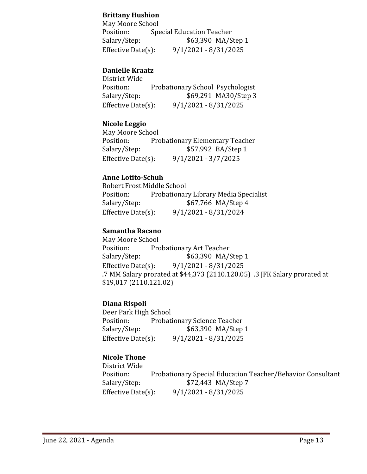### **Brittany Hushion**

May Moore School<br>Position: Spe Position: Special Education Teacher<br>Salary/Step: \$63,390 MA/S \$63,390 MA/Step 1 Effective Date(s): 9/1/2021 - 8/31/2025

### **Danielle Kraatz**

| District Wide          |                                  |
|------------------------|----------------------------------|
| Position:              | Probationary School Psychologist |
| Salary/Step:           | \$69,291 MA30/Step 3             |
| Effective Date $(s)$ : | $9/1/2021 - 8/31/2025$           |

### **Nicole Leggio**

May Moore School<br>Position: Pro Position: Probationary Elementary Teacher<br>Salary/Step: \$57,992 BA/Step 1 \$57,992 BA/Step 1 Effective Date(s): 9/1/2021 - 3/7/2025

#### **Anne Lotito-Schuh**

Robert Frost Middle School<br>Position: Probationar Position: Probationary Library Media Specialist<br>Salary/Step: \$67,766 MA/Step 4 Salary/Step: \$67,766 MA/Step 4<br>Effective Date(s): 9/1/2021 - 8/31/2024 Effective Date(s): 9/1/2021 - 8/31/2024

### **Samantha Racano**

May Moore School<br>Position: Pro Position: Probationary Art Teacher<br>Salary/Step: \$63,390 MA/ \$63,390 MA/Step 1 Effective Date(s): 9/1/2021 - 8/31/2025 .7 MM Salary prorated at \$44,373 (2110.120.05) .3 JFK Salary prorated at \$19,017 (2110.121.02)

#### **Diana Rispoli**

Deer Park High School<br>Position: Probati Position: Probationary Science Teacher<br>Salary/Step: \$63,390 MA/Step \$63,390 MA/Step 1 Effective Date(s): 9/1/2021 - 8/31/2025

### **Nicole Thone**

District Wide Position: Probationary Special Education Teacher/Behavior Consultant<br>Salary/Step: \$72,443 MA/Step 7 \$72,443 MA/Step 7 Effective Date(s): 9/1/2021 - 8/31/2025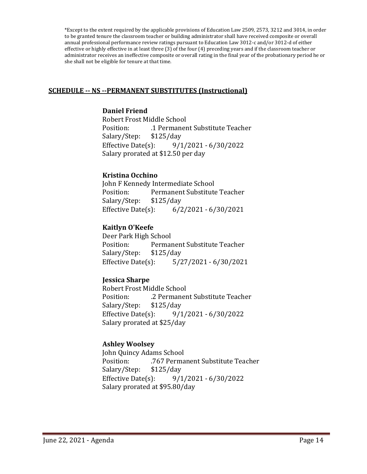\*Except to the extent required by the applicable provisions of Education Law 2509, 2573, 3212 and 3014, in order to be granted tenure the classroom teacher or building administrator shall have received composite or overall annual professional performance review ratings pursuant to Education Law 3012-c and/or 3012-d of either effective or highly effective in at least three (3) of the four (4) preceding years and if the classroom teacher or administrator receives an ineffective composite or overall rating in the final year of the probationary period he or she shall not be eligible for tenure at that time.

#### **SCHEDULE -- NS --PERMANENT SUBSTITUTES (Instructional)**

#### **Daniel Friend**

Robert Frost Middle School<br>Position: 1 Permaner .1 Permanent Substitute Teacher<br>\$125/day Salary/Step: \$1<br>Effective Date(s): Effective Date(s): 9/1/2021 - 6/30/2022 Salary prorated at \$12.50 per day

### **Kristina Occhino**

John F Kennedy Intermediate School Permanent Substitute Teacher<br>\$125/day Salary/Step: \$1<br>Effective Date(s):  $6/2/2021 - 6/30/2021$ 

#### **Kaitlyn O'Keefe**

Deer Park High School Permanent Substitute Teacher<br>\$125/day Salary/Step: Effective Date(s): 5/27/2021 - 6/30/2021

#### **Jessica Sharpe**

Robert Frost Middle School .2 Permanent Substitute Teacher<br>\$125/day Salary/Step: \$1<br>Effective Date(s): Effective Date(s): 9/1/2021 - 6/30/2022 Salary prorated at \$25/day

#### **Ashley Woolsey**

John Quincy Adams School Position: . .767 Permanent Substitute Teacher<br>Salary/Step: \$125/day Salary/Step: Effective Date(s): 9/1/2021 - 6/30/2022 Salary prorated at \$95.80/day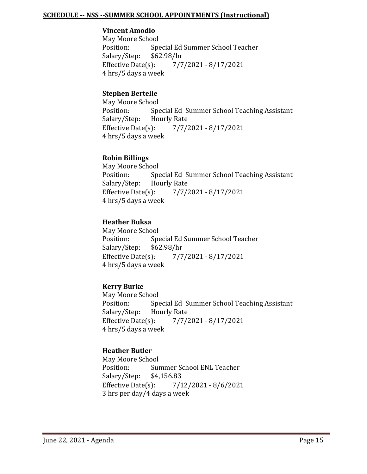#### **SCHEDULE -- NSS --SUMMER SCHOOL APPOINTMENTS (Instructional)**

#### **Vincent Amodio**

May Moore School<br>Position: Spe Special Ed Summer School Teacher<br>\$62.98/hr Salary/Step: \$6<br>Effective Date(s): Effective Date(s): 7/7/2021 - 8/17/2021 4 hrs/5 days a week

#### **Stephen Bertelle**

May Moore School<br>Position: Spe Special Ed Summer School Teaching Assistant<br>Hourly Rate Salary/Step: Hourly Rep<br>Effective Date(s): Effective Date(s): 7/7/2021 - 8/17/2021 4 hrs/5 days a week

### **Robin Billings**

May Moore School<br>Position: Spe Special Ed Summer School Teaching Assistant<br>Hourly Rate Salary/Step: Hourly Rate<br>Effective Date(s): Effective Date(s): 7/7/2021 - 8/17/2021 4 hrs/5 days a week

### **Heather Buksa**

May Moore School<br>Position: Spe Special Ed Summer School Teacher<br>\$62.98/hr Salary/Step: \$6<br>Effective Date(s): Effective Date(s): 7/7/2021 - 8/17/2021 4 hrs/5 days a week

### **Kerry Burke**

May Moore School<br>Position: Spe Special Ed Summer School Teaching Assistant<br>Hourly Rate Salary/Step: Hourly Rep<br>Effective Date(s): Effective Date(s): 7/7/2021 - 8/17/2021 4 hrs/5 days a week

#### **Heather Butler**

May Moore School<br>Position: Sun Summer School ENL Teacher<br>\$4.156.83 Salary/Step: \$4<br>Effective Date(s):  $7/12/2021 - 8/6/2021$ 3 hrs per day/4 days a week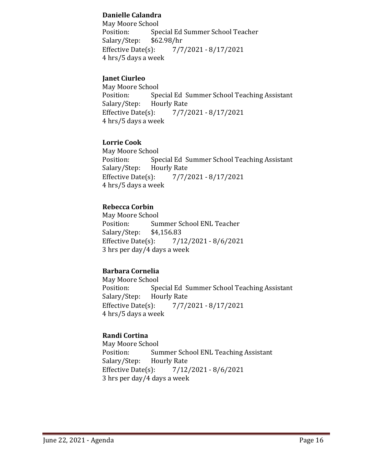### **Danielle Calandra**

May Moore School<br>Position: Spe Special Ed Summer School Teacher<br>\$62.98/hr Salary/Step: \$6<br>Effective Date(s): Effective Date(s): 7/7/2021 - 8/17/2021 4 hrs/5 days a week

### **Janet Ciurleo**

May Moore School<br>Position: Spe Special Ed Summer School Teaching Assistant<br>Hourly Rate Salary/Step: Hourly Rep<br>Effective Date(s): Effective Date(s): 7/7/2021 - 8/17/2021 4 hrs/5 days a week

### **Lorrie Cook**

May Moore School<br>Position: Spe Special Ed Summer School Teaching Assistant<br>Hourly Rate Salary/Step: Hourly Repress<br>Effective Date(s): Effective Date(s): 7/7/2021 - 8/17/2021 4 hrs/5 days a week

### **Rebecca Corbin**

May Moore School<br>Position: Sui Summer School ENL Teacher<br>\$4,156.83 Salary/Step: \$4<br>Effective Date(s):  $7/12/2021 - 8/6/2021$ 3 hrs per day/4 days a week

### **Barbara Cornelia**

May Moore School<br>Position: Spe Special Ed Summer School Teaching Assistant<br>Hourly Rate Salary/Step: Effective Date(s): 7/7/2021 - 8/17/2021 4 hrs/5 days a week

### **Randi Cortina**

May Moore School<br>Position: Sui Summer School ENL Teaching Assistant<br>Hourly Rate Salary/Step: Hourly Rep<br>Effective Date(s):  $7/12/2021 - 8/6/2021$ 3 hrs per day/4 days a week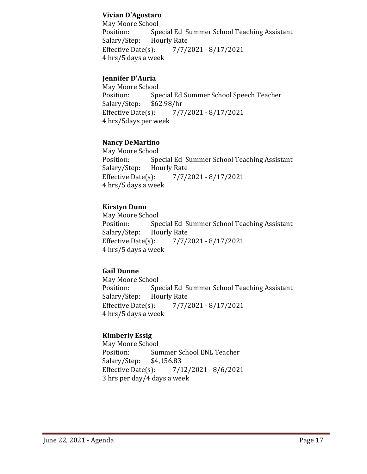#### **Vivian D'Agostaro**

May Moore School<br>Position: Spe Special Ed Summer School Teaching Assistant<br>Hourly Rate Salary/Step: Hourly Refective Date(s): Effective Date(s): 7/7/2021 - 8/17/2021 4 hrs/5 days a week

### **Jennifer D'Auria**

May Moore School<br>Position: Spe Special Ed Summer School Speech Teacher<br>\$62.98/hr Salary/Step: \$6<br>Effective Date(s): Effective Date(s): 7/7/2021 - 8/17/2021 4 hrs/5days per week

#### **Nancy DeMartino**

May Moore School<br>Position: Spe Special Ed Summer School Teaching Assistant<br>Hourly Rate Salary/Step: Hourly Repress<br>Effective Date(s): Effective Date(s): 7/7/2021 - 8/17/2021 4 hrs/5 days a week

### **Kirstyn Dunn**

May Moore School<br>Position: Spe Special Ed Summer School Teaching Assistant<br>Hourly Rate Salary/Step: Hourly Rate<br>Effective Date(s): Effective Date(s): 7/7/2021 - 8/17/2021 4 hrs/5 days a week

### **Gail Dunne**

May Moore School<br>Position: Spe Special Ed Summer School Teaching Assistant<br>Hourly Rate Salary/Step: Effective Date(s): 7/7/2021 - 8/17/2021 4 hrs/5 days a week

### **Kimberly Essig**

May Moore School<br>Position: Sur Summer School ENL Teacher<br>\$4,156.83 Salary/Step: \$4<br>Effective Date(s): Effective Date(s): 7/12/2021 - 8/6/2021 3 hrs per day/4 days a week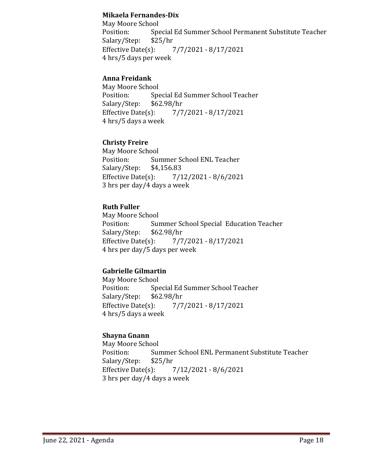#### **Mikaela Fernandes-Dix**

May Moore School<br>Position: Spe Special Ed Summer School Permanent Substitute Teacher<br>\$25/hr Salary/Step: \$2<br>Effective Date(s): Effective Date(s): 7/7/2021 - 8/17/2021 4 hrs/5 days per week

### **Anna Freidank**

May Moore School<br>Position: Spe Special Ed Summer School Teacher<br>\$62.98/hr Salary/Step: \$6<br>Effective Date(s): Effective Date(s): 7/7/2021 - 8/17/2021 4 hrs/5 days a week

### **Christy Freire**

May Moore School<br>Position: Sur Summer School ENL Teacher<br>\$4,156.83 Salary/Step: \$4<br>Effective Date(s):  $7/12/2021 - 8/6/2021$ 3 hrs per day/4 days a week

### **Ruth Fuller**

May Moore School<br>Position: Sur Summer School Special Education Teacher<br>\$62.98/hr Salary/Step: \$6<br>Effective Date(s): Effective Date(s): 7/7/2021 - 8/17/2021 4 hrs per day/5 days per week

### **Gabrielle Gilmartin**

May Moore School<br>Position: Spe Special Ed Summer School Teacher<br>\$62.98/hr Salary/Step: \$6<br>Effective Date(s): Effective Date(s): 7/7/2021 - 8/17/2021 4 hrs/5 days a week

### **Shayna Gnann**

May Moore School<br>Position: Sur Summer School ENL Permanent Substitute Teacher<br>\$25/hr Salary/Step: \$2<br>Effective Date(s): Effective Date(s): 7/12/2021 - 8/6/2021 3 hrs per day/4 days a week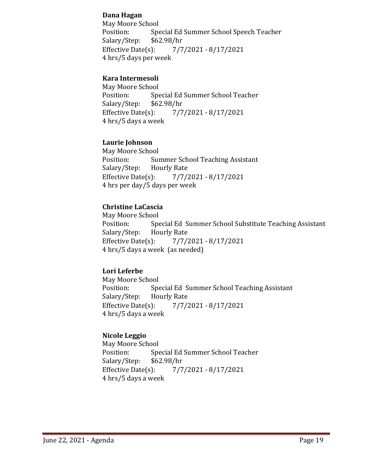### **Dana Hagan**

May Moore School<br>Position: Spe Special Ed Summer School Speech Teacher<br>\$62.98/hr Salary/Step: \$6<br>Effective Date(s): Effective Date(s): 7/7/2021 - 8/17/2021 4 hrs/5 days per week

### **Kara Intermesoli**

May Moore School<br>Position: Spe Special Ed Summer School Teacher<br>\$62.98/hr Salary/Step: \$6<br>Effective Date(s): Effective Date(s): 7/7/2021 - 8/17/2021 4 hrs/5 days a week

### **Laurie Johnson**

May Moore School<br>Position: Sur Summer School Teaching Assistant<br>Hourly Rate Salary/Step: Hourly Repress<br>Effective Date(s): Effective Date(s): 7/7/2021 - 8/17/2021 4 hrs per day/5 days per week

### **Christine LaCascia**

May Moore School<br>Position: Spe Special Ed Summer School Substitute Teaching Assistant<br>Hourly Rate Salary/Step: Hourly Rep<br>Effective Date(s): Effective Date(s): 7/7/2021 - 8/17/2021 4 hrs/5 days a week (as needed)

### **Lori Leferbe**

May Moore School<br>Position: Spe Special Ed Summer School Teaching Assistant<br>Hourly Rate Salary/Step: Effective Date(s): 7/7/2021 - 8/17/2021 4 hrs/5 days a week

### **Nicole Leggio**

May Moore School<br>Position: Spe Special Ed Summer School Teacher<br>\$62.98/hr Salary/Step: \$6<br>Effective Date(s): Effective Date(s): 7/7/2021 - 8/17/2021 4 hrs/5 days a week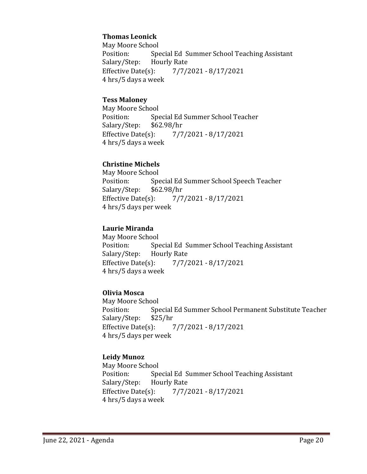### **Thomas Leonick**

May Moore School<br>Position: Spe Special Ed Summer School Teaching Assistant<br>Hourly Rate Salary/Step: Hourly Rate<br>Effective Date(s): Effective Date(s): 7/7/2021 - 8/17/2021 4 hrs/5 days a week

#### **Tess Maloney**

May Moore School<br>Position: Spe Special Ed Summer School Teacher<br>\$62.98/hr Salary/Step: \$6<br>Effective Date(s): Effective Date(s): 7/7/2021 - 8/17/2021 4 hrs/5 days a week

### **Christine Michels**

May Moore School<br>Position: Spe Special Ed Summer School Speech Teacher<br>\$62.98/hr Salary/Step: \$6<br>Effective Date(s): Effective Date(s): 7/7/2021 - 8/17/2021 4 hrs/5 days per week

### **Laurie Miranda**

May Moore School<br>Position: Spe Special Ed Summer School Teaching Assistant<br>Hourly Rate Salary/Step: Effective Date(s): 7/7/2021 - 8/17/2021 4 hrs/5 days a week

### **Olivia Mosca**

May Moore School<br>Position: Spe Special Ed Summer School Permanent Substitute Teacher<br>\$25/hr Salary/Step: \$2<br>Effective Date(s): Effective Date(s): 7/7/2021 - 8/17/2021 4 hrs/5 days per week

### **Leidy Munoz**

May Moore School<br>Position: Spe Special Ed Summer School Teaching Assistant<br>Hourly Rate Salary/Step: Hourly Repress<br>Effective Date(s): Effective Date(s): 7/7/2021 - 8/17/2021 4 hrs/5 days a week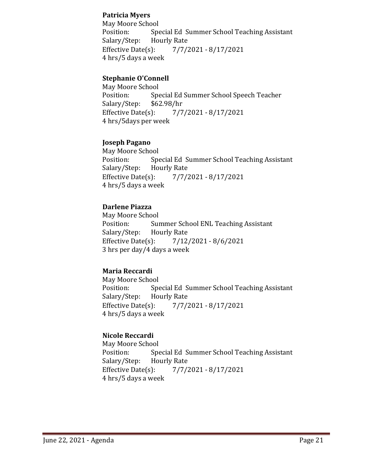### **Patricia Myers**

May Moore School<br>Position: Spe Special Ed Summer School Teaching Assistant<br>Hourly Rate Salary/Step: Hourly Refective Date(s): Effective Date(s): 7/7/2021 - 8/17/2021 4 hrs/5 days a week

### **Stephanie O'Connell**

May Moore School<br>Position: Spe Special Ed Summer School Speech Teacher<br>\$62.98/hr Salary/Step: \$6<br>Effective Date(s): Effective Date(s): 7/7/2021 - 8/17/2021 4 hrs/5days per week

### **Joseph Pagano**

May Moore School<br>Position: Spe Special Ed Summer School Teaching Assistant<br>Hourly Rate Salary/Step: Hourly Repress<br>Effective Date(s): Effective Date(s): 7/7/2021 - 8/17/2021 4 hrs/5 days a week

### **Darlene Piazza**

May Moore School<br>Position: Sui Summer School ENL Teaching Assistant<br>Hourly Rate Salary/Step: Hourly Rep<br>Effective Date(s):  $7/12/2021 - 8/6/2021$ 3 hrs per day/4 days a week

### **Maria Reccardi**

May Moore School<br>Position: Spe Special Ed Summer School Teaching Assistant<br>Hourly Rate Salary/Step: Effective Date(s): 7/7/2021 - 8/17/2021 4 hrs/5 days a week

### **Nicole Reccardi**

May Moore School<br>Position: Spe Special Ed Summer School Teaching Assistant<br>Hourly Rate Salary/Step: Hourly Rep<br>Effective Date(s): Effective Date(s): 7/7/2021 - 8/17/2021 4 hrs/5 days a week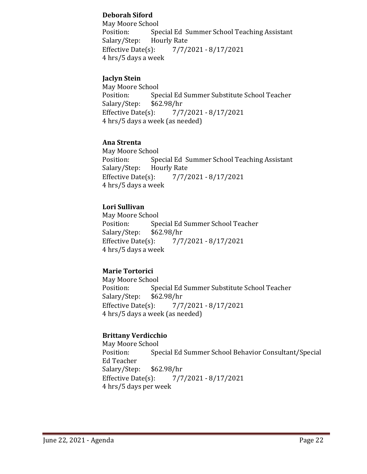### **Deborah Siford**

May Moore School<br>Position: Spe Special Ed Summer School Teaching Assistant<br>Hourly Rate Salary/Step: Hourly Refective Date(s): Effective Date(s): 7/7/2021 - 8/17/2021 4 hrs/5 days a week

### **Jaclyn Stein**

May Moore School<br>Position: Spe Special Ed Summer Substitute School Teacher<br>\$62.98/hr Salary/Step: \$6<br>Effective Date(s): Effective Date(s): 7/7/2021 - 8/17/2021 4 hrs/5 days a week (as needed)

### **Ana Strenta**

May Moore School<br>Position: Spe Special Ed Summer School Teaching Assistant<br>Hourly Rate Salary/Step: Hourly Repress<br>Effective Date(s): Effective Date(s): 7/7/2021 - 8/17/2021 4 hrs/5 days a week

### **Lori Sullivan**

May Moore School<br>Position: Spe Special Ed Summer School Teacher<br>\$62.98/hr Salary/Step: \$6<br>Effective Date(s): Effective Date(s): 7/7/2021 - 8/17/2021 4 hrs/5 days a week

### **Marie Tortorici**

May Moore School<br>Position: Spe Special Ed Summer Substitute School Teacher<br>\$62.98/hr Salary/Step: Effective Date(s): 7/7/2021 - 8/17/2021 4 hrs/5 days a week (as needed)

### **Brittany Verdicchio**

May Moore School<br>Position: Spe Special Ed Summer School Behavior Consultant/Special Ed Teacher Salary/Step: \$62.98/hr Effective Date(s): 7/7/2021 - 8/17/2021 4 hrs/5 days per week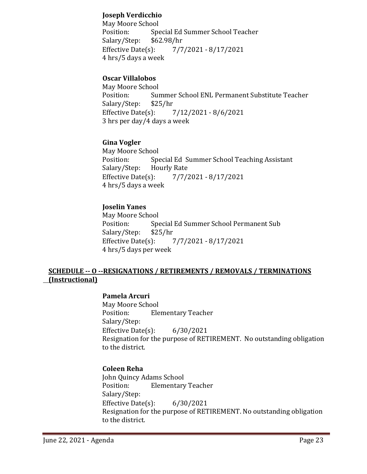### **Joseph Verdicchio**

May Moore School<br>Position: Spe Special Ed Summer School Teacher<br>\$62.98/hr Salary/Step: \$6<br>Effective Date(s): Effective Date(s): 7/7/2021 - 8/17/2021 4 hrs/5 days a week

### **Oscar Villalobos**

May Moore School Summer School ENL Permanent Substitute Teacher<br>\$25/hr Salary/Step: \$2<br>Effective Date(s): Effective Date(s): 7/12/2021 - 8/6/2021 3 hrs per day/4 days a week

### **Gina Vogler**

May Moore School<br>Position: Spe Special Ed Summer School Teaching Assistant<br>Hourly Rate Salary/Step: Hourly Repress<br>Effective Date(s): Effective Date(s): 7/7/2021 - 8/17/2021 4 hrs/5 days a week

### **Joselin Yanes**

May Moore School<br>Position: Spe Special Ed Summer School Permanent Sub<br>\$25/hr Salary/Step: \$2<br>Effective Date(s): Effective Date(s): 7/7/2021 - 8/17/2021 4 hrs/5 days per week

#### **SCHEDULE -- O --RESIGNATIONS / RETIREMENTS / REMOVALS / TERMINATIONS (Instructional)**

#### **Pamela Arcuri**

May Moore School<br>Position: Ele **Elementary Teacher** Salary/Step: Effective Date(s): 6/30/2021 Resignation for the purpose of RETIREMENT. No outstanding obligation to the district.

#### **Coleen Reha**

John Quincy Adams School<br>Position: Elementary **Elementary Teacher** Salary/Step: Effective Date(s): 6/30/2021 Resignation for the purpose of RETIREMENT. No outstanding obligation to the district.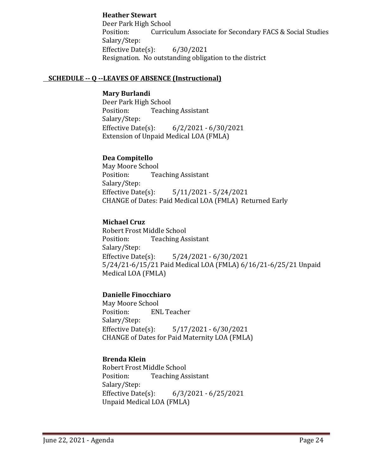#### **Heather Stewart**

Deer Park High School Position: Curriculum Associate for Secondary FACS & Social Studies Salary/Step: Effective Date(s): 6/30/2021 Resignation. No outstanding obligation to the district

#### **SCHEDULE -- Q --LEAVES OF ABSENCE (Instructional)**

#### **Mary Burlandi**

Deer Park High School<br>Position: Teachii **Teaching Assistant** Salary/Step:<br>Effective Date(s):  $6/2/2021 - 6/30/2021$ Extension of Unpaid Medical LOA (FMLA)

### **Dea Compitello**

May Moore School<br>Position: Tea **Teaching Assistant** Salary/Step:<br>Effective Date(s): Effective Date(s): 5/11/2021 - 5/24/2021 CHANGE of Dates: Paid Medical LOA (FMLA) Returned Early

### **Michael Cruz**

Robert Frost Middle School<br>Position: Teaching As **Teaching Assistant** Salary/Step:<br>Effective Date(s):  $5/24/2021 - 6/30/2021$ 5/24/21-6/15/21 Paid Medical LOA (FMLA) 6/16/21-6/25/21 Unpaid Medical LOA (FMLA)

### **Danielle Finocchiaro**

May Moore School<br>Position: EN **ENL Teacher** Salary/Step:<br>Effective Date(s): Effective Date(s): 5/17/2021 - 6/30/2021 CHANGE of Dates for Paid Maternity LOA (FMLA)

#### **Brenda Klein**

Robert Frost Middle School<br>Position: Teaching As **Teaching Assistant** Salary/Step:<br>Effective Date(s):  $6/3/2021 - 6/25/2021$ Unpaid Medical LOA (FMLA)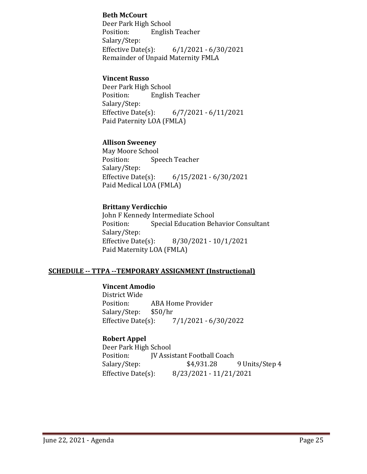#### **Beth McCourt**

Deer Park High School<br>Position: English English Teacher Salary/Step:<br>Effective Date(s):  $6/1/2021 - 6/30/2021$ Remainder of Unpaid Maternity FMLA

#### **Vincent Russo**

Deer Park High School<br>Position: English **English Teacher** Salary/Step:<br>Effective Date(s): Effective Date(s): 6/7/2021 - 6/11/2021 Paid Paternity LOA (FMLA)

### **Allison Sweeney**

May Moore School<br>Position: Spe Speech Teacher Salary/Step:<br>Effective Date(s): Effective Date(s): 6/15/2021 - 6/30/2021 Paid Medical LOA (FMLA)

### **Brittany Verdicchio**

John F Kennedy Intermediate School<br>Position: Special Education Bel Special Education Behavior Consultant Salary/Step:<br>Effective Date(s): Effective Date(s): 8/30/2021 - 10/1/2021 Paid Maternity LOA (FMLA)

#### **SCHEDULE -- TTPA --TEMPORARY ASSIGNMENT (Instructional)**

### **Vincent Amodio**

District Wide ABA Home Provider<br>\$50/hr Salary/Step: \$5<br>Effective Date(s): Effective Date(s): 7/1/2021 - 6/30/2022

### **Robert Appel**

Deer Park High School<br>Position: **IV Assis** Position: JV Assistant Football Coach<br>Salary/Step: \$4,931.28 Salary/Step: \$4,931.28 9 Units/Step 4<br>Effective Date(s): 8/23/2021 - 11/21/2021 Effective Date(s): 8/23/2021 - 11/21/2021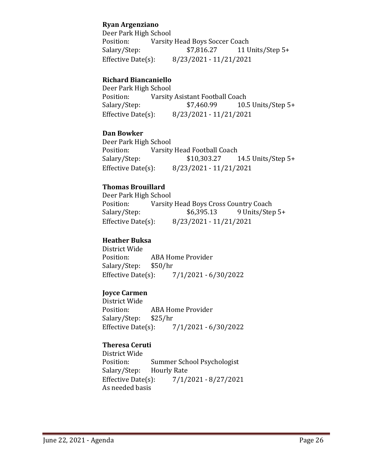### **Ryan Argenziano**

Deer Park High School<br>Position: Varsity Position: Varsity Head Boys Soccer Coach<br>Salary/Step: \$7,816.27 11 U 11 Units/Step 5+ Effective Date(s): 8/23/2021 - 11/21/2021

#### **Richard Biancaniello**

Deer Park High School<br>Position: Varsity Position: Varsity Asistant Football Coach<br>Salary/Step: \$7,460.99 10. 10.5 Units/Step  $5+$ Effective Date(s): 8/23/2021 - 11/21/2021

#### **Dan Bowker**

Deer Park High School<br>Position: Varsity Position: Varsity Head Football Coach<br>Salary/Step: \$10,303.27 14.5 Units/Step  $5+$ Effective Date(s): 8/23/2021 - 11/21/2021

### **Thomas Brouillard**

Deer Park High School<br>Position: Varsity Position: Varsity Head Boys Cross Country Coach<br>Salary/Step: \$6,395.13 9 Units/Step Salary/Step: \$6,395.13 9 Units/Step 5+<br>Effective Date(s): 8/23/2021 - 11/21/2021 Effective Date(s): 8/23/2021 - 11/21/2021

### **Heather Buksa**

District Wide ABA Home Provider<br>\$50/hr Salary/Step: \$5<br>Effective Date(s):  $7/1/2021 - 6/30/2022$ 

### **Joyce Carmen**

District Wide ABA Home Provider<br>\$25/hr Salary/Step: \$2<br>Effective Date(s): Effective Date(s): 7/1/2021 - 6/30/2022

### **Theresa Ceruti**

District Wide Summer School Psychologist<br>Hourly Rate Salary/Step: Hourly Rate<br>Effective Date(s): Effective Date(s): 7/1/2021 - 8/27/2021 As needed basis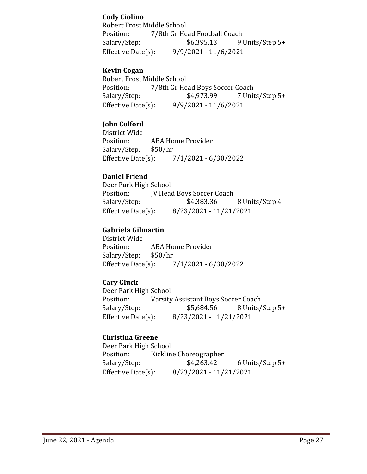### **Cody Ciolino**

Robert Frost Middle School<br>Position: 7/8th Gr He Position: 7/8th Gr Head Football Coach<br>Salary/Step: \$6,395.13 91 9 Units/Step 5+ Effective Date(s): 9/9/2021 - 11/6/2021

### **Kevin Cogan**

Robert Frost Middle School<br>Position: 7/8th Gr He Position: 7/8th Gr Head Boys Soccer Coach<br>Salary/Step: \$4,973.99 7 Unit 7 Units/Step 5+ Effective Date(s): 9/9/2021 - 11/6/2021

### **John Colford**

District Wide ABA Home Provider<br>\$50/hr Salary/Step: \$5<br>Effective Date(s):  $7/1/2021 - 6/30/2022$ 

### **Daniel Friend**

Deer Park High School<br>Position: [V Head Position: JV Head Boys Soccer Coach<br>Salary/Step: \$4,383.36 Salary/Step: \$4,383.36 8 Units/Step 4<br>Effective Date(s): 8/23/2021 - 11/21/2021 Effective Date(s): 8/23/2021 - 11/21/2021

### **Gabriela Gilmartin**

District Wide ABA Home Provider<br>\$50/hr Salary/Step: \$5<br>Effective Date(s): Effective Date(s): 7/1/2021 - 6/30/2022

### **Cary Gluck**

Deer Park High School<br>Position: Varsity Varsity Assistant Boys Soccer Coach<br>\$5,684.56 8 Units/ Salary/Step: \$5,684.56 8 Units/Step 5+ Effective Date(s): 8/23/2021 - 11/21/2021

### **Christina Greene**

Deer Park High School<br>Position: Kicklin Position: Kickline Choreographer<br>Salary/Step: \$4,263.42 Salary/Step: \$4,263.42 6 Units/Step 5+<br>Effective Date(s): 8/23/2021 - 11/21/2021 Effective Date(s): 8/23/2021 - 11/21/2021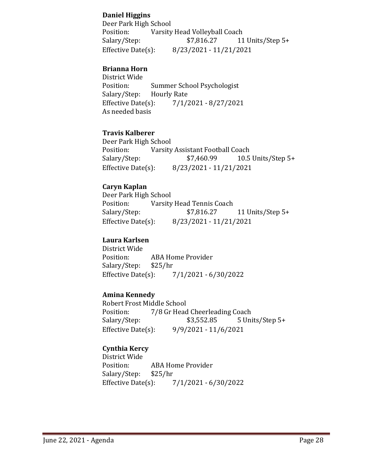### **Daniel Higgins**

Deer Park High School<br>Position: Varsity Position: Varsity Head Volleyball Coach<br>Salary/Step: \$7,816.27 11 11 Units/Step 5+ Effective Date(s): 8/23/2021 - 11/21/2021

### **Brianna Horn**

District Wide Summer School Psychologist<br>Hourly Rate Salary/Step: Hourly Rep<br>Effective Date(s): Effective Date(s): 7/1/2021 - 8/27/2021 As needed basis

#### **Travis Kalberer**

Deer Park High School<br>Position: Varsity Position: Varsity Assistant Football Coach<br>Salary/Step: \$7,460.99 10.5 Salary/Step: \$7,460.99 10.5 Units/Step 5+<br>Effective Date(s): 8/23/2021 - 11/21/2021 Effective Date(s): 8/23/2021 - 11/21/2021

### **Caryn Kaplan**

Deer Park High School<br>Position: Varsity Position: Varsity Head Tennis Coach<br>Salary/Step: \$7,816.27 Salary/Step: \$7,816.27 11 Units/Step 5+<br>Effective Date(s): 8/23/2021 - 11/21/2021 Effective Date(s): 8/23/2021 - 11/21/2021

### **Laura Karlsen**

District Wide ABA Home Provider<br>\$25/hr Salary/Step: \$2<br>Effective Date(s): Effective Date(s): 7/1/2021 - 6/30/2022

### **Amina Kennedy**

Robert Frost Middle School<br>Position: 7/8 Gr Head Position: 7/8 Gr Head Cheerleading Coach<br>Salary/Step: \$3,552.85 5 Uni  $5$  Units/Step  $5+$ Effective Date(s): 9/9/2021 - 11/6/2021

### **Cynthia Kercy**

District Wide ABA Home Provider<br>\$25/hr Salary/Step: Effective Date(s): 7/1/2021 - 6/30/2022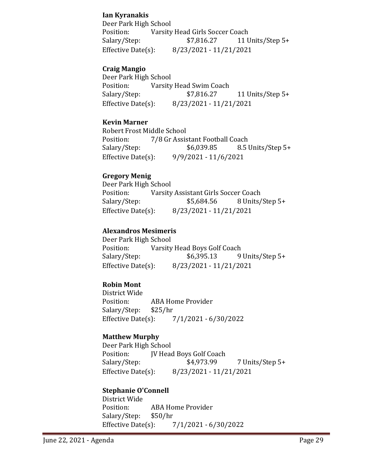### **Ian Kyranakis**

Deer Park High School Position: Varsity Head Girls Soccer Coach<br>Salary/Step: \$7,816.27 11 U 11 Units/Step 5+ Effective Date(s): 8/23/2021 - 11/21/2021

#### **Craig Mangio**

Deer Park High School<br>Position: Varsity Position: Varsity Head Swim Coach<br>Salary/Step: \$7,816.27 11 Units/Step  $5+$ Effective Date(s): 8/23/2021 - 11/21/2021

#### **Kevin Marner**

Robert Frost Middle School<br>Position: 7/8 Gr Assis Position: 7/8 Gr Assistant Football Coach<br>Salary/Step: \$6,039.85 8.5 8.5 Units/Step 5+ Effective Date(s): 9/9/2021 - 11/6/2021

### **Gregory Menig**

Deer Park High School<br>Position: Varsity Position: Varsity Assistant Girls Soccer Coach<br>Salary/Step: \$5,684.56 8 Units/ 8 Units/Step 5+ Effective Date(s): 8/23/2021 - 11/21/2021

### **Alexandros Mesimeris**

Deer Park High School<br>Position: Varsity Position: Varsity Head Boys Golf Coach<br>Salary/Step: \$6,395.13 9 9 Units/Step 5+ Effective Date(s): 8/23/2021 - 11/21/2021

### **Robin Mont**

District Wide ABA Home Provider<br>\$25/hr Salary/Step: Effective Date(s): 7/1/2021 - 6/30/2022

#### **Matthew Murphy**

Deer Park High School<br>Position: IV Head Position: JV Head Boys Golf Coach<br>Salary/Step: \$4,973.99 7 Units/Step 5+ Effective Date(s): 8/23/2021 - 11/21/2021

#### **Stephanie O'Connell**

District Wide ABA Home Provider<br>\$50/hr Salary/Step: \$5<br>Effective Date(s): Effective Date(s): 7/1/2021 - 6/30/2022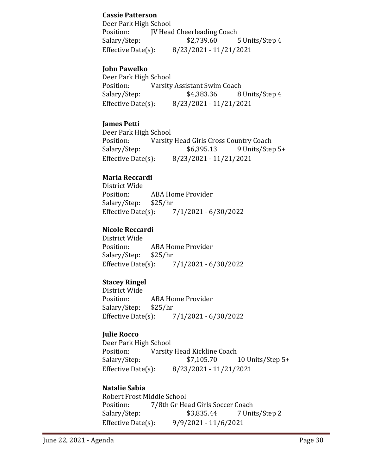### **Cassie Patterson**

Deer Park High School Position: JV Head Cheerleading Coach<br>Salary/Step: \$2,739.60 5 Units/Step 4 Effective Date(s): 8/23/2021 - 11/21/2021

### **John Pawelko**

Deer Park High School<br>Position: Varsity Position: Varsity Assistant Swim Coach<br>Salary/Step: \$4,383.36 8 8 Units/Step 4 Effective Date(s): 8/23/2021 - 11/21/2021

### **James Petti**

Deer Park High School<br>Position: Varsity Position: Varsity Head Girls Cross Country Coach<br>Salary/Step: \$6,395.13 9 Units/Step 9 Units/Step 5+ Effective Date(s): 8/23/2021 - 11/21/2021

### **Maria Reccardi**

District Wide ABA Home Provider<br>\$25/hr Salary/Step: \$2<br>Effective Date(s): Effective Date(s): 7/1/2021 - 6/30/2022

### **Nicole Reccardi**

District Wide ABA Home Provider<br>\$25/hr Salary/Step: Effective Date(s): 7/1/2021 - 6/30/2022

### **Stacey Ringel**

District Wide ABA Home Provider<br>\$25/hr Salary/Step: \$2<br>Effective Date(s): Effective Date(s): 7/1/2021 - 6/30/2022

#### **Julie Rocco**

Deer Park High School<br>Position: Varsity Position: Varsity Head Kickline Coach<br>Salary/Step: \$7,105.70 10 Units/Step  $5+$ Effective Date(s): 8/23/2021 - 11/21/2021

### **Natalie Sabia**

Robert Frost Middle School<br>Position: 7/8th Gr He Position: 7/8th Gr Head Girls Soccer Coach<br>Salary/Step: \$3,835.44 7 Unit 7 Units/Step 2 Effective Date(s): 9/9/2021 - 11/6/2021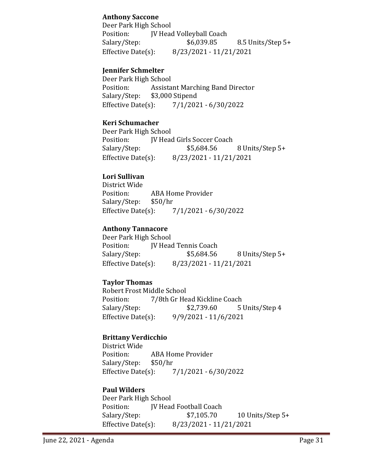### **Anthony Saccone**

Deer Park High School<br>Position: [V Head Position: JV Head Volleyball Coach<br>Salary/Step: \$6,039.85 8.5 Units/Step 5+ Effective Date(s): 8/23/2021 - 11/21/2021

### **Jennifer Schmelter**

Deer Park High School<br>Position: Assista Position: Assistant Marching Band Director<br>Salary/Step: \$3,000 Stipend \$3,000 Stipend Effective Date(s): 7/1/2021 - 6/30/2022

### **Keri Schumacher**

Deer Park High School<br>Position: [V Head Position: JV Head Girls Soccer Coach<br>Salary/Step: \$5,684.56 8 Units/Step 5+ Effective Date(s): 8/23/2021 - 11/21/2021

### **Lori Sullivan**

District Wide ABA Home Provider<br>\$50/hr Salary/Step: \$5<br>Effective Date(s): Effective Date(s): 7/1/2021 - 6/30/2022

### **Anthony Tannacore**

Deer Park High School<br>Position: [V Head Position: JV Head Tennis Coach<br>Salary/Step: \$5,684.56 Salary/Step: \$5,684.56 8 Units/Step 5+<br>Effective Date(s): 8/23/2021 - 11/21/2021 Effective Date(s): 8/23/2021 - 11/21/2021

### **Taylor Thomas**

Robert Frost Middle School<br>Position: 7/8th Gr He 7/8th Gr Head Kickline Coach Salary/Step: \$2,739.60 5 Units/Step 4 Effective Date(s): 9/9/2021 - 11/6/2021

### **Brittany Verdicchio**

District Wide ABA Home Provider<br>\$50/hr Salary/Step: \$5<br>Effective Date(s): Effective Date(s): 7/1/2021 - 6/30/2022

### **Paul Wilders**

Deer Park High School<br>Position: JV Head Position: JV Head Football Coach<br>Salary/Step: \$7,105.70 Salary/Step: \$7,105.70 10 Units/Step 5+<br>Effective Date(s): 8/23/2021 - 11/21/2021 Effective Date(s): 8/23/2021 - 11/21/2021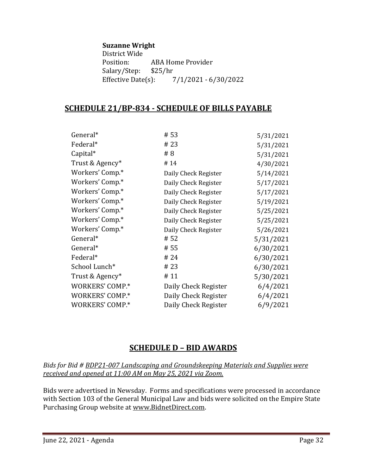#### **Suzanne Wright**

District Wide ABA Home Provider<br>\$25/hr Salary/Step: \$2<br>Effective Date(s): Effective Date(s): 7/1/2021 - 6/30/2022

### **SCHEDULE 21/BP-834 - SCHEDULE OF BILLS PAYABLE**

| General*        | #53                  | 5/31/2021 |
|-----------------|----------------------|-----------|
| Federal*        | #23                  | 5/31/2021 |
| Capital*        | # 8                  | 5/31/2021 |
| Trust & Agency* | #14                  | 4/30/2021 |
| Workers' Comp.* | Daily Check Register | 5/14/2021 |
| Workers' Comp.* | Daily Check Register | 5/17/2021 |
| Workers' Comp.* | Daily Check Register | 5/17/2021 |
| Workers' Comp.* | Daily Check Register | 5/19/2021 |
| Workers' Comp.* | Daily Check Register | 5/25/2021 |
| Workers' Comp.* | Daily Check Register | 5/25/2021 |
| Workers' Comp.* | Daily Check Register | 5/26/2021 |
| General*        | # 52                 | 5/31/2021 |
| General*        | # 55                 | 6/30/2021 |
| Federal*        | #24                  | 6/30/2021 |
| School Lunch*   | # 23                 | 6/30/2021 |
| Trust & Agency* | #11                  | 5/30/2021 |
| WORKERS' COMP.* | Daily Check Register | 6/4/2021  |
| WORKERS' COMP.* | Daily Check Register | 6/4/2021  |
| WORKERS' COMP.* | Daily Check Register | 6/9/2021  |
|                 |                      |           |

# **SCHEDULE D – BID AWARDS**

*Bids for Bid # BDP21-007 Landscaping and Groundskeeping Materials and Supplies were received and opened at 11:00 AM on May 25, 2021 via Zoom.*

Bids were advertised in Newsday. Forms and specifications were processed in accordance with Section 103 of the General Municipal Law and bids were solicited on the Empire State Purchasing Group website at [www.BidnetDirect.com.](http://www.bidnetdirect.com/)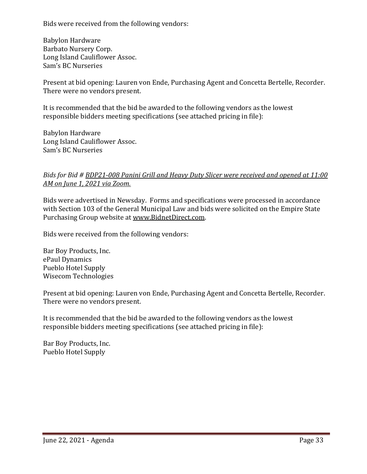Bids were received from the following vendors:

Babylon Hardware Barbato Nursery Corp. Long Island Cauliflower Assoc. Sam's BC Nurseries

Present at bid opening: Lauren von Ende, Purchasing Agent and Concetta Bertelle, Recorder. There were no vendors present.

It is recommended that the bid be awarded to the following vendors as the lowest responsible bidders meeting specifications (see attached pricing in file):

Babylon Hardware Long Island Cauliflower Assoc. Sam's BC Nurseries

#### *Bids for Bid # BDP21-008 Panini Grill and Heavy Duty Slicer were received and opened at 11:00 AM on June 1, 2021 via Zoom.*

Bids were advertised in Newsday. Forms and specifications were processed in accordance with Section 103 of the General Municipal Law and bids were solicited on the Empire State Purchasing Group website at [www.BidnetDirect.com.](http://www.bidnetdirect.com/)

Bids were received from the following vendors:

Bar Boy Products, Inc. ePaul Dynamics Pueblo Hotel Supply Wisecom Technologies

Present at bid opening: Lauren von Ende, Purchasing Agent and Concetta Bertelle, Recorder. There were no vendors present.

It is recommended that the bid be awarded to the following vendors as the lowest responsible bidders meeting specifications (see attached pricing in file):

Bar Boy Products, Inc. Pueblo Hotel Supply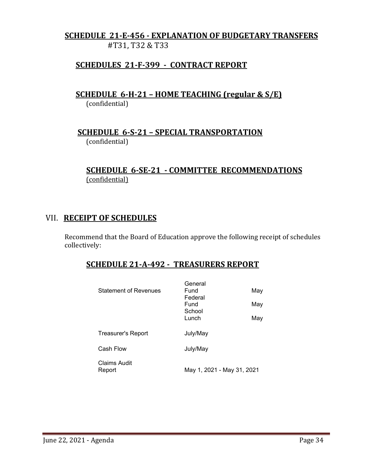# **SCHEDULE 21-E-456 - EXPLANATION OF BUDGETARY TRANSFERS** #T31, T32 & T33

# **SCHEDULES 21-F-399 - CONTRACT REPORT**

 **SCHEDULE 6-H-21 – HOME TEACHING (regular & S/E)**  (confidential)

 **SCHEDULE 6-S-21 – SPECIAL TRANSPORTATION**  (confidential)

## **SCHEDULE 6-SE-21 - COMMITTEE RECOMMENDATIONS** (confidential)

### VII. **RECEIPT OF SCHEDULES**

Recommend that the Board of Education approve the following receipt of schedules collectively:

## **SCHEDULE 21-A-492 - TREASURERS REPORT**

| <b>Statement of Revenues</b> | General<br>Fund<br>Federal<br>Fund<br>School<br>Lunch | May<br>May<br>May          |  |
|------------------------------|-------------------------------------------------------|----------------------------|--|
| <b>Treasurer's Report</b>    | July/May                                              |                            |  |
| Cash Flow                    | July/May                                              |                            |  |
| Claims Audit<br>Report       |                                                       | May 1, 2021 - May 31, 2021 |  |